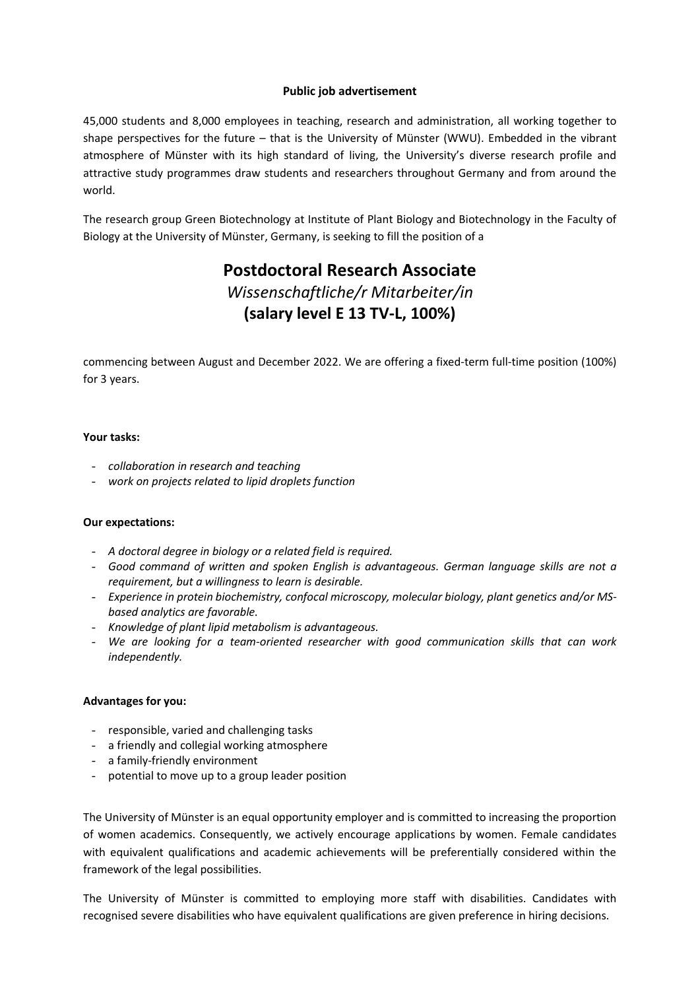## **Public job advertisement**

45,000 students and 8,000 employees in teaching, research and administration, all working together to shape perspectives for the future – that is the University of Münster (WWU). Embedded in the vibrant atmosphere of Münster with its high standard of living, the University's diverse research profile and attractive study programmes draw students and researchers throughout Germany and from around the world.

The research group Green Biotechnology at Institute of Plant Biology and Biotechnology in the Faculty of Biology at the University of Münster, Germany, is seeking to fill the position of a

# **Postdoctoral Research Associate** *Wissenschaftliche/r Mitarbeiter/in* **(salary level E 13 TV-L, 100%)**

commencing between August and December 2022. We are offering a fixed-term full-time position (100%) for 3 years.

## **Your tasks:**

- *collaboration in research and teaching*
- *work on projects related to lipid droplets function*

### **Our expectations:**

- *A doctoral degree in biology or a related field is required.*
- *Good command of written and spoken English is advantageous. German language skills are not a requirement, but a willingness to learn is desirable.*
- *Experience in protein biochemistry, confocal microscopy, molecular biology, plant genetics and/or MSbased analytics are favorable.*
- *Knowledge of plant lipid metabolism is advantageous.*
- *We are looking for a team-oriented researcher with good communication skills that can work independently.*

### **Advantages for you:**

- responsible, varied and challenging tasks
- a friendly and collegial working atmosphere
- a family-friendly environment
- potential to move up to a group leader position

The University of Münster is an equal opportunity employer and is committed to increasing the proportion of women academics. Consequently, we actively encourage applications by women. Female candidates with equivalent qualifications and academic achievements will be preferentially considered within the framework of the legal possibilities.

The University of Münster is committed to employing more staff with disabilities. Candidates with recognised severe disabilities who have equivalent qualifications are given preference in hiring decisions.